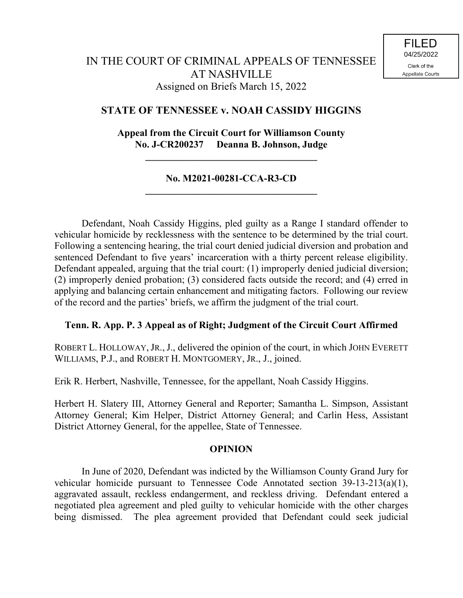## **STATE OF TENNESSEE v. NOAH CASSIDY HIGGINS**

## **Appeal from the Circuit Court for Williamson County No. J-CR200237 Deanna B. Johnson, Judge**

**\_\_\_\_\_\_\_\_\_\_\_\_\_\_\_\_\_\_\_\_\_\_\_\_\_\_\_\_\_\_\_\_\_\_\_**

## **No. M2021-00281-CCA-R3-CD \_\_\_\_\_\_\_\_\_\_\_\_\_\_\_\_\_\_\_\_\_\_\_\_\_\_\_\_\_\_\_\_\_\_\_**

Defendant, Noah Cassidy Higgins, pled guilty as a Range I standard offender to vehicular homicide by recklessness with the sentence to be determined by the trial court. Following a sentencing hearing, the trial court denied judicial diversion and probation and sentenced Defendant to five years' incarceration with a thirty percent release eligibility. Defendant appealed, arguing that the trial court: (1) improperly denied judicial diversion; (2) improperly denied probation; (3) considered facts outside the record; and (4) erred in applying and balancing certain enhancement and mitigating factors. Following our review of the record and the parties' briefs, we affirm the judgment of the trial court.

## **Tenn. R. App. P. 3 Appeal as of Right; Judgment of the Circuit Court Affirmed**

ROBERT L. HOLLOWAY, JR., J., delivered the opinion of the court, in which JOHN EVERETT WILLIAMS, P.J., and ROBERT H. MONTGOMERY, JR., J., joined.

Erik R. Herbert, Nashville, Tennessee, for the appellant, Noah Cassidy Higgins.

Herbert H. Slatery III, Attorney General and Reporter; Samantha L. Simpson, Assistant Attorney General; Kim Helper, District Attorney General; and Carlin Hess, Assistant District Attorney General, for the appellee, State of Tennessee.

## **OPINION**

In June of 2020, Defendant was indicted by the Williamson County Grand Jury for vehicular homicide pursuant to Tennessee Code Annotated section 39-13-213(a)(1), aggravated assault, reckless endangerment, and reckless driving. Defendant entered a negotiated plea agreement and pled guilty to vehicular homicide with the other charges being dismissed. The plea agreement provided that Defendant could seek judicial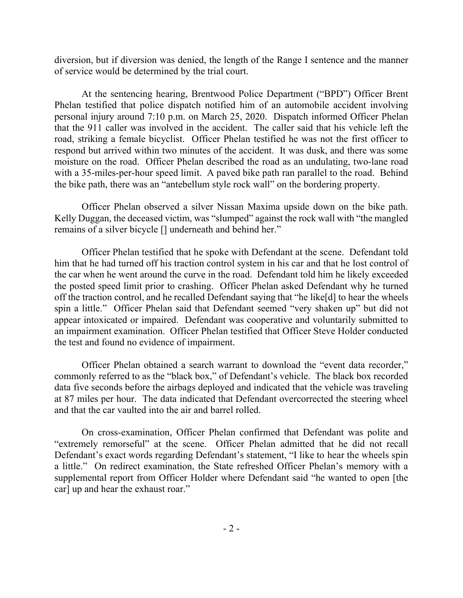diversion, but if diversion was denied, the length of the Range I sentence and the manner of service would be determined by the trial court.

At the sentencing hearing, Brentwood Police Department ("BPD") Officer Brent Phelan testified that police dispatch notified him of an automobile accident involving personal injury around 7:10 p.m. on March 25, 2020. Dispatch informed Officer Phelan that the 911 caller was involved in the accident. The caller said that his vehicle left the road, striking a female bicyclist. Officer Phelan testified he was not the first officer to respond but arrived within two minutes of the accident. It was dusk, and there was some moisture on the road. Officer Phelan described the road as an undulating, two-lane road with a 35-miles-per-hour speed limit. A paved bike path ran parallel to the road. Behind the bike path, there was an "antebellum style rock wall" on the bordering property.

Officer Phelan observed a silver Nissan Maxima upside down on the bike path. Kelly Duggan, the deceased victim, was "slumped" against the rock wall with "the mangled remains of a silver bicycle [] underneath and behind her."

Officer Phelan testified that he spoke with Defendant at the scene. Defendant told him that he had turned off his traction control system in his car and that he lost control of the car when he went around the curve in the road. Defendant told him he likely exceeded the posted speed limit prior to crashing. Officer Phelan asked Defendant why he turned off the traction control, and he recalled Defendant saying that "he like[d] to hear the wheels spin a little." Officer Phelan said that Defendant seemed "very shaken up" but did not appear intoxicated or impaired. Defendant was cooperative and voluntarily submitted to an impairment examination. Officer Phelan testified that Officer Steve Holder conducted the test and found no evidence of impairment.

Officer Phelan obtained a search warrant to download the "event data recorder," commonly referred to as the "black box," of Defendant's vehicle. The black box recorded data five seconds before the airbags deployed and indicated that the vehicle was traveling at 87 miles per hour. The data indicated that Defendant overcorrected the steering wheel and that the car vaulted into the air and barrel rolled.

On cross-examination, Officer Phelan confirmed that Defendant was polite and "extremely remorseful" at the scene. Officer Phelan admitted that he did not recall Defendant's exact words regarding Defendant's statement, "I like to hear the wheels spin a little." On redirect examination, the State refreshed Officer Phelan's memory with a supplemental report from Officer Holder where Defendant said "he wanted to open [the car] up and hear the exhaust roar."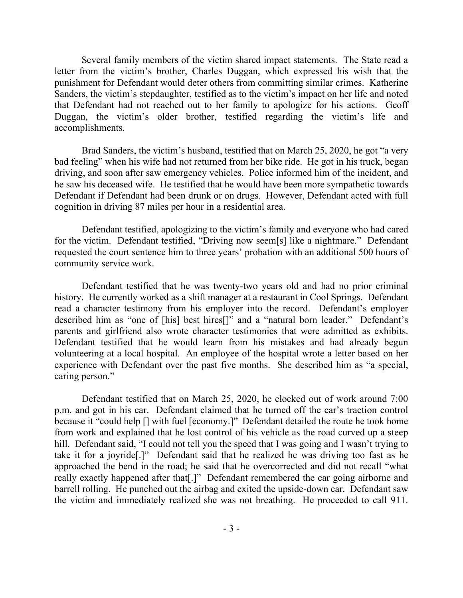Several family members of the victim shared impact statements. The State read a letter from the victim's brother, Charles Duggan, which expressed his wish that the punishment for Defendant would deter others from committing similar crimes. Katherine Sanders, the victim's stepdaughter, testified as to the victim's impact on her life and noted that Defendant had not reached out to her family to apologize for his actions. Geoff Duggan, the victim's older brother, testified regarding the victim's life and accomplishments.

Brad Sanders, the victim's husband, testified that on March 25, 2020, he got "a very bad feeling" when his wife had not returned from her bike ride. He got in his truck, began driving, and soon after saw emergency vehicles. Police informed him of the incident, and he saw his deceased wife. He testified that he would have been more sympathetic towards Defendant if Defendant had been drunk or on drugs. However, Defendant acted with full cognition in driving 87 miles per hour in a residential area.

Defendant testified, apologizing to the victim's family and everyone who had cared for the victim. Defendant testified, "Driving now seem[s] like a nightmare." Defendant requested the court sentence him to three years' probation with an additional 500 hours of community service work.

Defendant testified that he was twenty-two years old and had no prior criminal history. He currently worked as a shift manager at a restaurant in Cool Springs. Defendant read a character testimony from his employer into the record. Defendant's employer described him as "one of [his] best hires[]" and a "natural born leader." Defendant's parents and girlfriend also wrote character testimonies that were admitted as exhibits. Defendant testified that he would learn from his mistakes and had already begun volunteering at a local hospital. An employee of the hospital wrote a letter based on her experience with Defendant over the past five months. She described him as "a special, caring person."

Defendant testified that on March 25, 2020, he clocked out of work around 7:00 p.m. and got in his car. Defendant claimed that he turned off the car's traction control because it "could help [] with fuel [economy.]" Defendant detailed the route he took home from work and explained that he lost control of his vehicle as the road curved up a steep hill. Defendant said, "I could not tell you the speed that I was going and I wasn't trying to take it for a joyride[.]" Defendant said that he realized he was driving too fast as he approached the bend in the road; he said that he overcorrected and did not recall "what really exactly happened after that[.]" Defendant remembered the car going airborne and barrell rolling. He punched out the airbag and exited the upside-down car. Defendant saw the victim and immediately realized she was not breathing. He proceeded to call 911.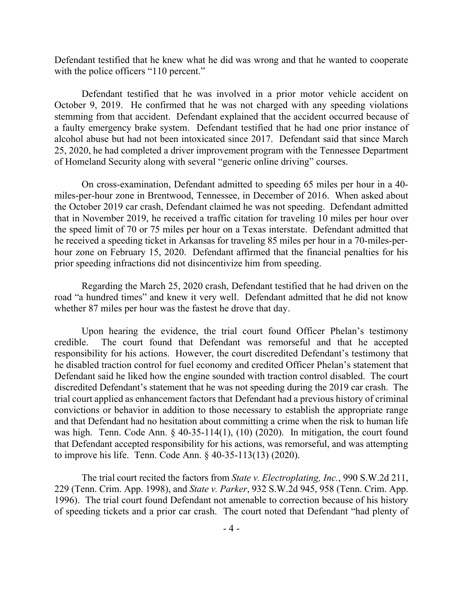Defendant testified that he knew what he did was wrong and that he wanted to cooperate with the police officers "110 percent."

Defendant testified that he was involved in a prior motor vehicle accident on October 9, 2019. He confirmed that he was not charged with any speeding violations stemming from that accident. Defendant explained that the accident occurred because of a faulty emergency brake system. Defendant testified that he had one prior instance of alcohol abuse but had not been intoxicated since 2017. Defendant said that since March 25, 2020, he had completed a driver improvement program with the Tennessee Department of Homeland Security along with several "generic online driving" courses.

On cross-examination, Defendant admitted to speeding 65 miles per hour in a 40 miles-per-hour zone in Brentwood, Tennessee, in December of 2016. When asked about the October 2019 car crash, Defendant claimed he was not speeding. Defendant admitted that in November 2019, he received a traffic citation for traveling 10 miles per hour over the speed limit of 70 or 75 miles per hour on a Texas interstate. Defendant admitted that he received a speeding ticket in Arkansas for traveling 85 miles per hour in a 70-miles-perhour zone on February 15, 2020. Defendant affirmed that the financial penalties for his prior speeding infractions did not disincentivize him from speeding.

Regarding the March 25, 2020 crash, Defendant testified that he had driven on the road "a hundred times" and knew it very well. Defendant admitted that he did not know whether 87 miles per hour was the fastest he drove that day.

Upon hearing the evidence, the trial court found Officer Phelan's testimony credible. The court found that Defendant was remorseful and that he accepted responsibility for his actions. However, the court discredited Defendant's testimony that he disabled traction control for fuel economy and credited Officer Phelan's statement that Defendant said he liked how the engine sounded with traction control disabled. The court discredited Defendant's statement that he was not speeding during the 2019 car crash. The trial court applied as enhancement factors that Defendant had a previous history of criminal convictions or behavior in addition to those necessary to establish the appropriate range and that Defendant had no hesitation about committing a crime when the risk to human life was high. Tenn. Code Ann. § 40-35-114(1), (10) (2020). In mitigation, the court found that Defendant accepted responsibility for his actions, was remorseful, and was attempting to improve his life. Tenn. Code Ann. § 40-35-113(13) (2020).

The trial court recited the factors from *State v. Electroplating, Inc.*, 990 S.W.2d 211, 229 (Tenn. Crim. App. 1998), and *State v. Parker*, 932 S.W.2d 945, 958 (Tenn. Crim. App. 1996). The trial court found Defendant not amenable to correction because of his history of speeding tickets and a prior car crash. The court noted that Defendant "had plenty of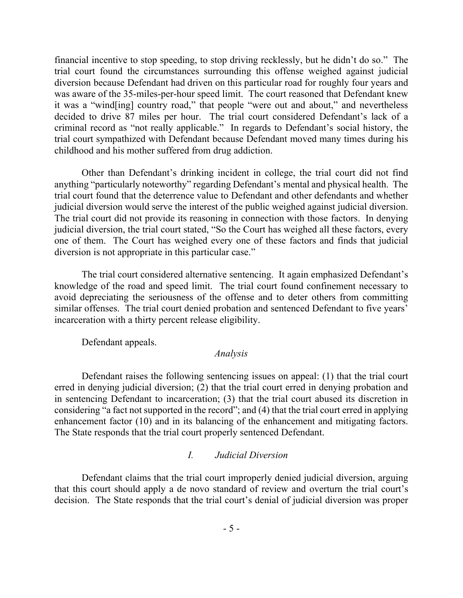financial incentive to stop speeding, to stop driving recklessly, but he didn't do so." The trial court found the circumstances surrounding this offense weighed against judicial diversion because Defendant had driven on this particular road for roughly four years and was aware of the 35-miles-per-hour speed limit. The court reasoned that Defendant knew it was a "wind[ing] country road," that people "were out and about," and nevertheless decided to drive 87 miles per hour. The trial court considered Defendant's lack of a criminal record as "not really applicable." In regards to Defendant's social history, the trial court sympathized with Defendant because Defendant moved many times during his childhood and his mother suffered from drug addiction.

Other than Defendant's drinking incident in college, the trial court did not find anything "particularly noteworthy" regarding Defendant's mental and physical health. The trial court found that the deterrence value to Defendant and other defendants and whether judicial diversion would serve the interest of the public weighed against judicial diversion. The trial court did not provide its reasoning in connection with those factors. In denying judicial diversion, the trial court stated, "So the Court has weighed all these factors, every one of them. The Court has weighed every one of these factors and finds that judicial diversion is not appropriate in this particular case."

The trial court considered alternative sentencing. It again emphasized Defendant's knowledge of the road and speed limit. The trial court found confinement necessary to avoid depreciating the seriousness of the offense and to deter others from committing similar offenses. The trial court denied probation and sentenced Defendant to five years' incarceration with a thirty percent release eligibility.

Defendant appeals.

## *Analysis*

Defendant raises the following sentencing issues on appeal: (1) that the trial court erred in denying judicial diversion; (2) that the trial court erred in denying probation and in sentencing Defendant to incarceration; (3) that the trial court abused its discretion in considering "a fact not supported in the record"; and (4) that the trial court erred in applying enhancement factor (10) and in its balancing of the enhancement and mitigating factors. The State responds that the trial court properly sentenced Defendant.

## *I. Judicial Diversion*

Defendant claims that the trial court improperly denied judicial diversion, arguing that this court should apply a de novo standard of review and overturn the trial court's decision. The State responds that the trial court's denial of judicial diversion was proper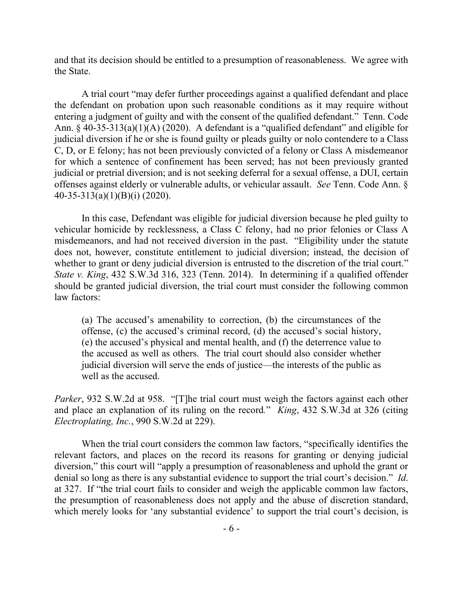and that its decision should be entitled to a presumption of reasonableness. We agree with the State.

A trial court "may defer further proceedings against a qualified defendant and place the defendant on probation upon such reasonable conditions as it may require without entering a judgment of guilty and with the consent of the qualified defendant." Tenn. Code Ann. § 40-35-313(a)(1)(A) (2020). A defendant is a "qualified defendant" and eligible for judicial diversion if he or she is found guilty or pleads guilty or nolo contendere to a Class C, D, or E felony; has not been previously convicted of a felony or Class A misdemeanor for which a sentence of confinement has been served; has not been previously granted judicial or pretrial diversion; and is not seeking deferral for a sexual offense, a DUI, certain offenses against elderly or vulnerable adults, or vehicular assault. *See* Tenn. Code Ann. § 40-35-313(a)(1)(B)(i) (2020).

In this case, Defendant was eligible for judicial diversion because he pled guilty to vehicular homicide by recklessness, a Class C felony, had no prior felonies or Class A misdemeanors, and had not received diversion in the past. "Eligibility under the statute does not, however, constitute entitlement to judicial diversion; instead, the decision of whether to grant or deny judicial diversion is entrusted to the discretion of the trial court." *State v. King*, 432 S.W.3d 316, 323 (Tenn. 2014). In determining if a qualified offender should be granted judicial diversion, the trial court must consider the following common law factors:

(a) The accused's amenability to correction, (b) the circumstances of the offense, (c) the accused's criminal record, (d) the accused's social history, (e) the accused's physical and mental health, and (f) the deterrence value to the accused as well as others. The trial court should also consider whether judicial diversion will serve the ends of justice—the interests of the public as well as the accused.

*Parker*, 932 S.W.2d at 958. "[T]he trial court must weigh the factors against each other and place an explanation of its ruling on the record*.*" *King*, 432 S.W.3d at 326 (citing *Electroplating, Inc.*, 990 S.W.2d at 229).

When the trial court considers the common law factors, "specifically identifies the relevant factors, and places on the record its reasons for granting or denying judicial diversion," this court will "apply a presumption of reasonableness and uphold the grant or denial so long as there is any substantial evidence to support the trial court's decision." *Id*. at 327. If "the trial court fails to consider and weigh the applicable common law factors, the presumption of reasonableness does not apply and the abuse of discretion standard, which merely looks for 'any substantial evidence' to support the trial court's decision, is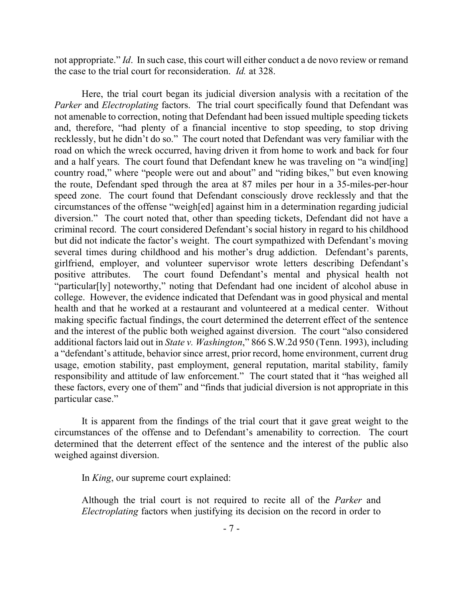not appropriate." *Id*. In such case, this court will either conduct a de novo review or remand the case to the trial court for reconsideration. *Id.* at 328.

Here, the trial court began its judicial diversion analysis with a recitation of the *Parker* and *Electroplating* factors. The trial court specifically found that Defendant was not amenable to correction, noting that Defendant had been issued multiple speeding tickets and, therefore, "had plenty of a financial incentive to stop speeding, to stop driving recklessly, but he didn't do so." The court noted that Defendant was very familiar with the road on which the wreck occurred, having driven it from home to work and back for four and a half years. The court found that Defendant knew he was traveling on "a wind[ing] country road," where "people were out and about" and "riding bikes," but even knowing the route, Defendant sped through the area at 87 miles per hour in a 35-miles-per-hour speed zone. The court found that Defendant consciously drove recklessly and that the circumstances of the offense "weigh[ed] against him in a determination regarding judicial diversion." The court noted that, other than speeding tickets, Defendant did not have a criminal record. The court considered Defendant's social history in regard to his childhood but did not indicate the factor's weight. The court sympathized with Defendant's moving several times during childhood and his mother's drug addiction. Defendant's parents, girlfriend, employer, and volunteer supervisor wrote letters describing Defendant's positive attributes. The court found Defendant's mental and physical health not "particular[ly] noteworthy," noting that Defendant had one incident of alcohol abuse in college. However, the evidence indicated that Defendant was in good physical and mental health and that he worked at a restaurant and volunteered at a medical center. Without making specific factual findings, the court determined the deterrent effect of the sentence and the interest of the public both weighed against diversion. The court "also considered additional factors laid out in *State v. Washington*," 866 S.W.2d 950 (Tenn. 1993), including a "defendant's attitude, behavior since arrest, prior record, home environment, current drug usage, emotion stability, past employment, general reputation, marital stability, family responsibility and attitude of law enforcement." The court stated that it "has weighed all these factors, every one of them" and "finds that judicial diversion is not appropriate in this particular case."

It is apparent from the findings of the trial court that it gave great weight to the circumstances of the offense and to Defendant's amenability to correction. The court determined that the deterrent effect of the sentence and the interest of the public also weighed against diversion.

In *King*, our supreme court explained:

Although the trial court is not required to recite all of the *Parker* and *Electroplating* factors when justifying its decision on the record in order to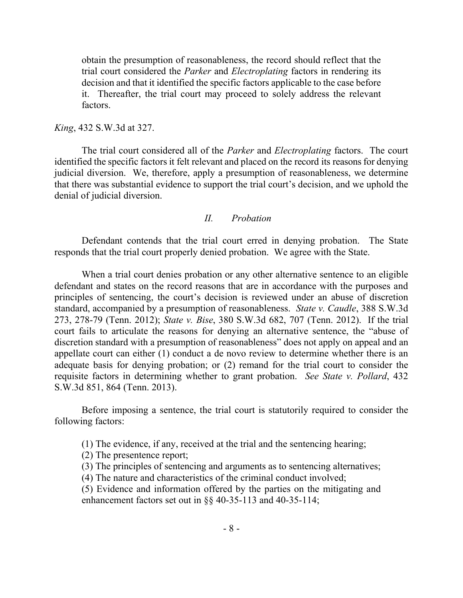obtain the presumption of reasonableness, the record should reflect that the trial court considered the *Parker* and *Electroplating* factors in rendering its decision and that it identified the specific factors applicable to the case before it. Thereafter, the trial court may proceed to solely address the relevant factors.

#### *King*, 432 S.W.3d at 327.

The trial court considered all of the *Parker* and *Electroplating* factors. The court identified the specific factors it felt relevant and placed on the record its reasons for denying judicial diversion. We, therefore, apply a presumption of reasonableness, we determine that there was substantial evidence to support the trial court's decision, and we uphold the denial of judicial diversion.

#### *II. Probation*

Defendant contends that the trial court erred in denying probation. The State responds that the trial court properly denied probation. We agree with the State.

When a trial court denies probation or any other alternative sentence to an eligible defendant and states on the record reasons that are in accordance with the purposes and principles of sentencing, the court's decision is reviewed under an abuse of discretion standard, accompanied by a presumption of reasonableness. *State v. Caudle*, 388 S.W.3d 273, 278-79 (Tenn. 2012); *State v. Bise*, 380 S.W.3d 682, 707 (Tenn. 2012). If the trial court fails to articulate the reasons for denying an alternative sentence, the "abuse of discretion standard with a presumption of reasonableness" does not apply on appeal and an appellate court can either (1) conduct a de novo review to determine whether there is an adequate basis for denying probation; or (2) remand for the trial court to consider the requisite factors in determining whether to grant probation. *See State v. Pollard*, 432 S.W.3d 851, 864 (Tenn. 2013).

Before imposing a sentence, the trial court is statutorily required to consider the following factors:

- (1) The evidence, if any, received at the trial and the sentencing hearing;
- (2) The presentence report;
- (3) The principles of sentencing and arguments as to sentencing alternatives;
- (4) The nature and characteristics of the criminal conduct involved;

(5) Evidence and information offered by the parties on the mitigating and enhancement factors set out in §§ 40-35-113 and 40-35-114;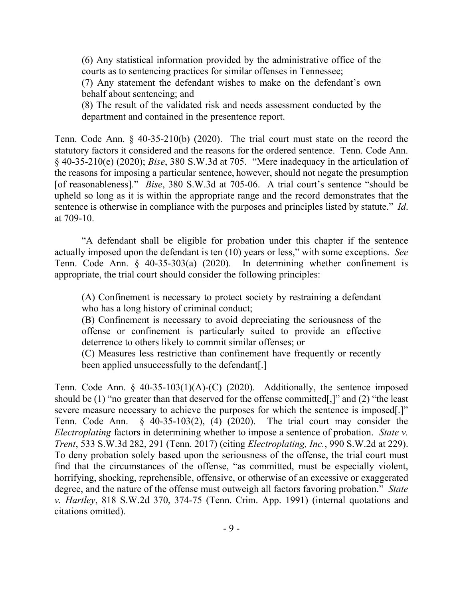(6) Any statistical information provided by the administrative office of the courts as to sentencing practices for similar offenses in Tennessee;

(7) Any statement the defendant wishes to make on the defendant's own behalf about sentencing; and

(8) The result of the validated risk and needs assessment conducted by the department and contained in the presentence report.

Tenn. Code Ann. § 40-35-210(b) (2020). The trial court must state on the record the statutory factors it considered and the reasons for the ordered sentence. Tenn. Code Ann. § 40-35-210(e) (2020); *Bise*, 380 S.W.3d at 705. "Mere inadequacy in the articulation of the reasons for imposing a particular sentence, however, should not negate the presumption [of reasonableness]." *Bise*, 380 S.W.3d at 705-06. A trial court's sentence "should be upheld so long as it is within the appropriate range and the record demonstrates that the sentence is otherwise in compliance with the purposes and principles listed by statute." *Id*. at 709-10.

"A defendant shall be eligible for probation under this chapter if the sentence actually imposed upon the defendant is ten (10) years or less," with some exceptions. *See*  Tenn. Code Ann. § 40-35-303(a) (2020). In determining whether confinement is appropriate, the trial court should consider the following principles:

(A) Confinement is necessary to protect society by restraining a defendant who has a long history of criminal conduct;

(B) Confinement is necessary to avoid depreciating the seriousness of the offense or confinement is particularly suited to provide an effective deterrence to others likely to commit similar offenses; or

(C) Measures less restrictive than confinement have frequently or recently been applied unsuccessfully to the defendant[.]

Tenn. Code Ann.  $\S$  40-35-103(1)(A)-(C) (2020). Additionally, the sentence imposed should be (1) "no greater than that deserved for the offense committed[,]" and (2) "the least severe measure necessary to achieve the purposes for which the sentence is imposed[.]" Tenn. Code Ann. § 40-35-103(2), (4) (2020). The trial court may consider the *Electroplating* factors in determining whether to impose a sentence of probation. *State v. Trent*, 533 S.W.3d 282, 291 (Tenn. 2017) (citing *Electroplating, Inc.*, 990 S.W.2d at 229). To deny probation solely based upon the seriousness of the offense, the trial court must find that the circumstances of the offense, "as committed, must be especially violent, horrifying, shocking, reprehensible, offensive, or otherwise of an excessive or exaggerated degree, and the nature of the offense must outweigh all factors favoring probation." *State v. Hartley*, 818 S.W.2d 370, 374-75 (Tenn. Crim. App. 1991) (internal quotations and citations omitted).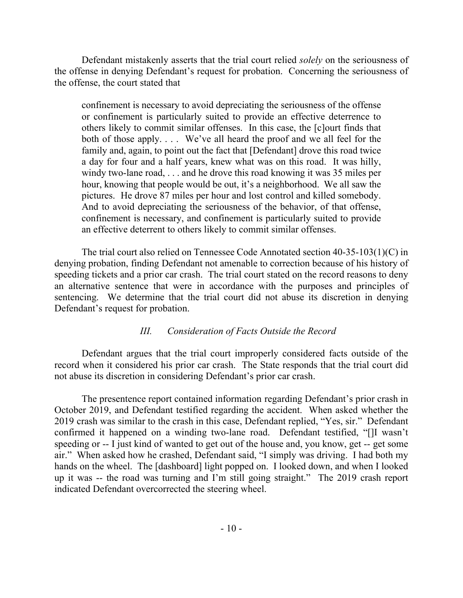Defendant mistakenly asserts that the trial court relied *solely* on the seriousness of the offense in denying Defendant's request for probation. Concerning the seriousness of the offense, the court stated that

confinement is necessary to avoid depreciating the seriousness of the offense or confinement is particularly suited to provide an effective deterrence to others likely to commit similar offenses. In this case, the [c]ourt finds that both of those apply. . . . We've all heard the proof and we all feel for the family and, again, to point out the fact that [Defendant] drove this road twice a day for four and a half years, knew what was on this road. It was hilly, windy two-lane road, . . . and he drove this road knowing it was 35 miles per hour, knowing that people would be out, it's a neighborhood. We all saw the pictures. He drove 87 miles per hour and lost control and killed somebody. And to avoid depreciating the seriousness of the behavior, of that offense, confinement is necessary, and confinement is particularly suited to provide an effective deterrent to others likely to commit similar offenses.

The trial court also relied on Tennessee Code Annotated section 40-35-103(1)(C) in denying probation, finding Defendant not amenable to correction because of his history of speeding tickets and a prior car crash. The trial court stated on the record reasons to deny an alternative sentence that were in accordance with the purposes and principles of sentencing. We determine that the trial court did not abuse its discretion in denying Defendant's request for probation.

# *III. Consideration of Facts Outside the Record*

Defendant argues that the trial court improperly considered facts outside of the record when it considered his prior car crash. The State responds that the trial court did not abuse its discretion in considering Defendant's prior car crash.

The presentence report contained information regarding Defendant's prior crash in October 2019, and Defendant testified regarding the accident. When asked whether the 2019 crash was similar to the crash in this case, Defendant replied, "Yes, sir." Defendant confirmed it happened on a winding two-lane road. Defendant testified, "[]I wasn't speeding or -- I just kind of wanted to get out of the house and, you know, get -- get some air." When asked how he crashed, Defendant said, "I simply was driving. I had both my hands on the wheel. The [dashboard] light popped on. I looked down, and when I looked up it was -- the road was turning and I'm still going straight." The 2019 crash report indicated Defendant overcorrected the steering wheel.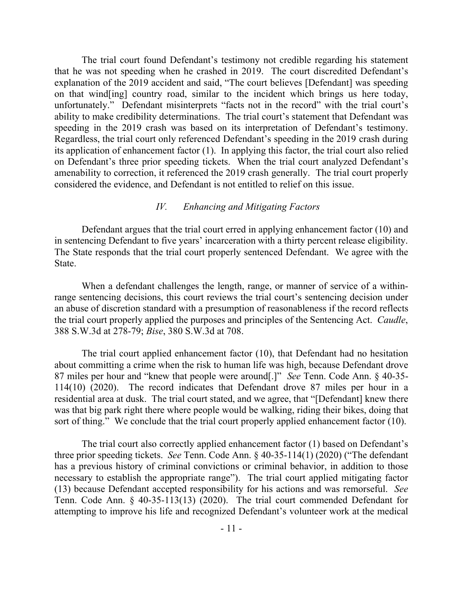The trial court found Defendant's testimony not credible regarding his statement that he was not speeding when he crashed in 2019. The court discredited Defendant's explanation of the 2019 accident and said, "The court believes [Defendant] was speeding on that wind[ing] country road, similar to the incident which brings us here today, unfortunately." Defendant misinterprets "facts not in the record" with the trial court's ability to make credibility determinations. The trial court's statement that Defendant was speeding in the 2019 crash was based on its interpretation of Defendant's testimony. Regardless, the trial court only referenced Defendant's speeding in the 2019 crash during its application of enhancement factor (1). In applying this factor, the trial court also relied on Defendant's three prior speeding tickets. When the trial court analyzed Defendant's amenability to correction, it referenced the 2019 crash generally. The trial court properly considered the evidence, and Defendant is not entitled to relief on this issue.

#### *IV. Enhancing and Mitigating Factors*

Defendant argues that the trial court erred in applying enhancement factor (10) and in sentencing Defendant to five years' incarceration with a thirty percent release eligibility. The State responds that the trial court properly sentenced Defendant. We agree with the State.

When a defendant challenges the length, range, or manner of service of a withinrange sentencing decisions, this court reviews the trial court's sentencing decision under an abuse of discretion standard with a presumption of reasonableness if the record reflects the trial court properly applied the purposes and principles of the Sentencing Act. *Caudle*, 388 S.W.3d at 278-79; *Bise*, 380 S.W.3d at 708.

The trial court applied enhancement factor (10), that Defendant had no hesitation about committing a crime when the risk to human life was high, because Defendant drove 87 miles per hour and "knew that people were around[.]" *See* Tenn. Code Ann. § 40-35- 114(10) (2020). The record indicates that Defendant drove 87 miles per hour in a residential area at dusk. The trial court stated, and we agree, that "[Defendant] knew there was that big park right there where people would be walking, riding their bikes, doing that sort of thing." We conclude that the trial court properly applied enhancement factor (10).

The trial court also correctly applied enhancement factor (1) based on Defendant's three prior speeding tickets. *See* Tenn. Code Ann. § 40-35-114(1) (2020) ("The defendant has a previous history of criminal convictions or criminal behavior, in addition to those necessary to establish the appropriate range"). The trial court applied mitigating factor (13) because Defendant accepted responsibility for his actions and was remorseful. *See*  Tenn. Code Ann. § 40-35-113(13) (2020). The trial court commended Defendant for attempting to improve his life and recognized Defendant's volunteer work at the medical